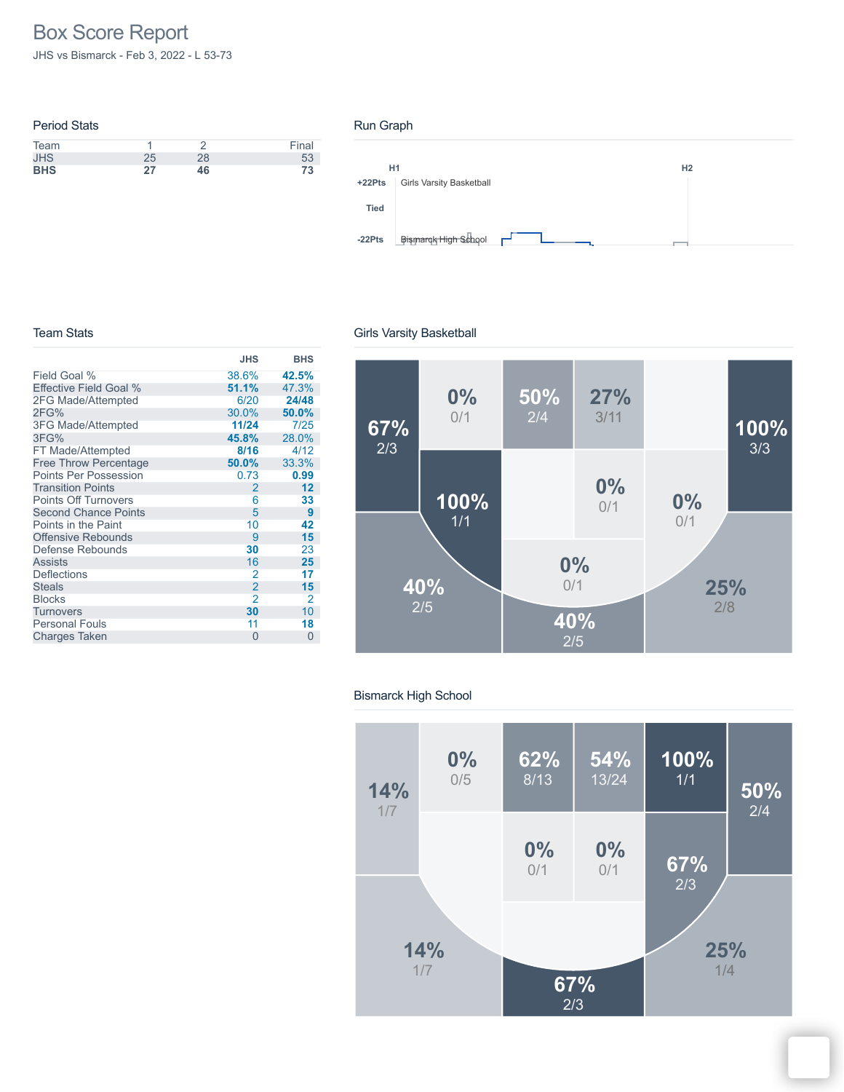# Box Score Report

JHS vs Bismarck - Feb 3, 2022 - L 53-73

| <b>Period Stats</b> |    |    |       |
|---------------------|----|----|-------|
| Team                |    |    | Final |
| <b>JHS</b>          | 25 | 28 | 53    |
| <b>BHS</b>          | 27 | 46 | 73    |

#### Run Graph



#### Team Stats

#### **JHS BHS** Field Goal % Effective Field Goal % 2FG Made/Attempted 2FG% 3FG Made/Attempted 3FG% FT Made/Attempted Free Throw Percentage Points Per Possession Transition Points Points Off Turnovers Second Chance Points Points in the Paint Offensive Rebounds Defense Rebounds Assists **Deflections Steals** Blocks **Turnovers** Personal Fouls Charges Taken 0 0 38.6% **42.5% 1.1%** 47.3%<br>6/20 **24/48** 6/20 **24/48** 30.0% **50.0% 11/24**<br>**45.8% 4/12**<br>**8/16** 4/12 **8/16** 4/12<br>**50.0%** 33.3% **5.0%** 33.3%<br>0.73 **0.99** 0.73 **0.99** 2 **12** 6 **33** 5 **9** 10 **42** 9 **15 30** 23<br>16 **25** 16 **25** 2 **17**  $\frac{2}{2}$  15<br>2  $\begin{array}{ccc} 2 & 2 \\ 30 & 10 \end{array}$ **30** 10<br>11 **18** 11 **18**

### Girls Varsity Basketball



#### Bismarck High School